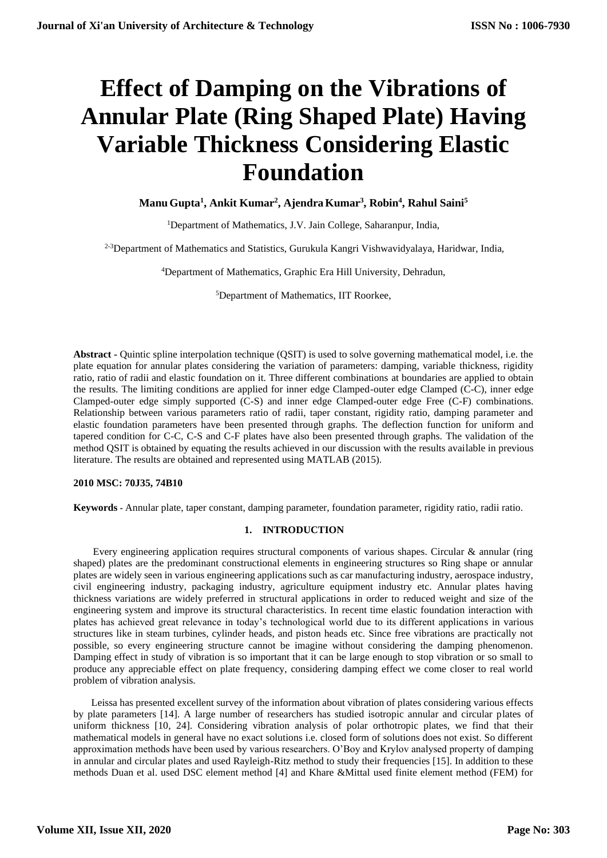# **Effect of Damping on the Vibrations of Annular Plate (Ring Shaped Plate) Having Variable Thickness Considering Elastic Foundation**

**ManuGupta<sup>1</sup> , Ankit Kumar<sup>2</sup> , AjendraKumar<sup>3</sup> , Robin<sup>4</sup> , Rahul Saini<sup>5</sup>**

<sup>1</sup>Department of Mathematics, J.V. Jain College, Saharanpur, India,

<sup>2-3</sup>Department of Mathematics and Statistics, Gurukula Kangri Vishwavidyalaya, Haridwar, India,

<sup>4</sup>Department of Mathematics, Graphic Era Hill University, Dehradun,

<sup>5</sup>Department of Mathematics, IIT Roorkee,

**Abstract -** Quintic spline interpolation technique (QSIT) is used to solve governing mathematical model, i.e. the plate equation for annular plates considering the variation of parameters: damping, variable thickness, rigidity ratio, ratio of radii and elastic foundation on it. Three different combinations at boundaries are applied to obtain the results. The limiting conditions are applied for inner edge Clamped-outer edge Clamped (C-C), inner edge Clamped-outer edge simply supported (C-S) and inner edge Clamped-outer edge Free (C-F) combinations. Relationship between various parameters ratio of radii, taper constant, rigidity ratio, damping parameter and elastic foundation parameters have been presented through graphs. The deflection function for uniform and tapered condition for C-C, C-S and C-F plates have also been presented through graphs. The validation of the method QSIT is obtained by equating the results achieved in our discussion with the results available in previous literature. The results are obtained and represented using MATLAB (2015).

# **2010 MSC: 70J35, 74B10**

**Keywords -** Annular plate, taper constant, damping parameter, foundation parameter, rigidity ratio, radii ratio.

# **1. INTRODUCTION**

 Every engineering application requires structural components of various shapes. Circular & annular (ring shaped) plates are the predominant constructional elements in engineering structures so Ring shape or annular plates are widely seen in various engineering applications such as car manufacturing industry, aerospace industry, civil engineering industry, packaging industry, agriculture equipment industry etc. Annular plates having thickness variations are widely preferred in structural applications in order to reduced weight and size of the engineering system and improve its structural characteristics. In recent time elastic foundation interaction with plates has achieved great relevance in today's technological world due to its different applications in various structures like in steam turbines, cylinder heads, and piston heads etc. Since free vibrations are practically not possible, so every engineering structure cannot be imagine without considering the damping phenomenon. Damping effect in study of vibration is so important that it can be large enough to stop vibration or so small to produce any appreciable effect on plate frequency, considering damping effect we come closer to real world problem of vibration analysis.

 Leissa has presented excellent survey of the information about vibration of plates considering various effects by plate parameters [14]. A large number of researchers has studied isotropic annular and circular plates of uniform thickness [10, 24]. Considering vibration analysis of polar orthotropic plates, we find that their mathematical models in general have no exact solutions i.e. closed form of solutions does not exist. So different approximation methods have been used by various researchers. O'Boy and Krylov analysed property of damping in annular and circular plates and used Rayleigh-Ritz method to study their frequencies [15]. In addition to these methods Duan et al. used DSC element method [4] and Khare &Mittal used finite element method (FEM) for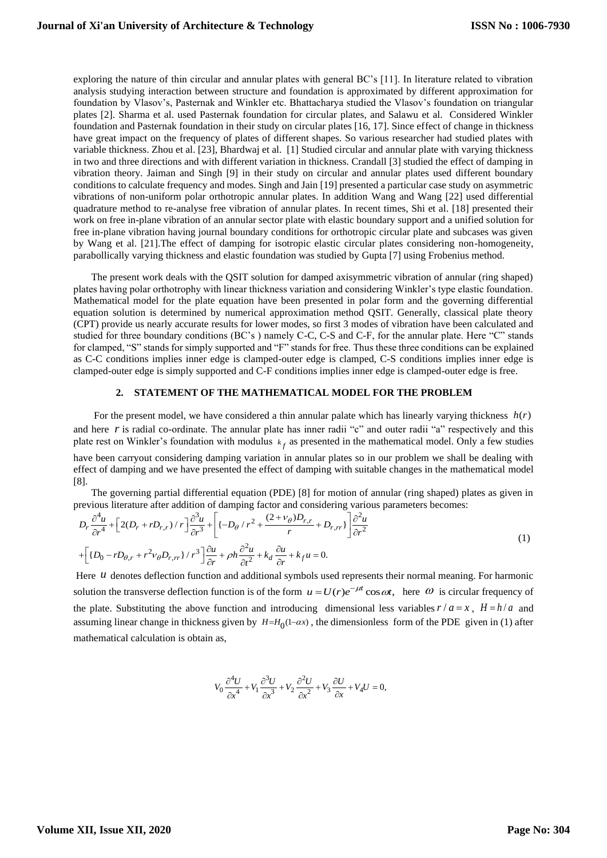exploring the nature of thin circular and annular plates with general BC's [11]. In literature related to vibration analysis studying interaction between structure and foundation is approximated by different approximation for foundation by Vlasov's, Pasternak and Winkler etc. Bhattacharya studied the Vlasov's foundation on triangular plates [2]. Sharma et al. used Pasternak foundation for circular plates, and Salawu et al. Considered Winkler foundation and Pasternak foundation in their study on circular plates [16, 17]. Since effect of change in thickness have great impact on the frequency of plates of different shapes. So various researcher had studied plates with variable thickness. Zhou et al. [23], Bhardwaj et al. [1] Studied circular and annular plate with varying thickness in two and three directions and with different variation in thickness. Crandall [3] studied the effect of damping in vibration theory. Jaiman and Singh [9] in their study on circular and annular plates used different boundary conditions to calculate frequency and modes. Singh and Jain [19] presented a particular case study on asymmetric vibrations of non-uniform polar orthotropic annular plates. In addition Wang and Wang [22] used differential quadrature method to re-analyse free vibration of annular plates. In recent times, Shi et al. [18] presented their work on free in-plane vibration of an annular sector plate with elastic boundary support and a unified solution for free in-plane vibration having journal boundary conditions for orthotropic circular plate and subcases was given by Wang et al. [21].The effect of damping for isotropic elastic circular plates considering non-homogeneity, parabollically varying thickness and elastic foundation was studied by Gupta [7] using Frobenius method.

 The present work deals with the QSIT solution for damped axisymmetric vibration of annular (ring shaped) plates having polar orthotrophy with linear thickness variation and considering Winkler's type elastic foundation. Mathematical model for the plate equation have been presented in polar form and the governing differential equation solution is determined by numerical approximation method QSIT. Generally, classical plate theory (CPT) provide us nearly accurate results for lower modes, so first 3 modes of vibration have been calculated and studied for three boundary conditions (BC's ) namely C-C, C-S and C-F, for the annular plate. Here "C" stands for clamped, "S" stands for simply supported and "F" stands for free. Thus these three conditions can be explained as C-C conditions implies inner edge is clamped-outer edge is clamped, C-S conditions implies inner edge is clamped-outer edge is simply supported and C-F conditions implies inner edge is clamped-outer edge is free.

#### **2. STATEMENT OF THE MATHEMATICAL MODEL FOR THE PROBLEM**

For the present model, we have considered a thin annular palate which has linearly varying thickness  $h(r)$ and here  $r$  is radial co-ordinate. The annular plate has inner radii "c" and outer radii "a" respectively and this plate rest on Winkler's foundation with modulus  $k_f$  as presented in the mathematical model. Only a few studies

have been carryout considering damping variation in annular plates so in our problem we shall be dealing with effect of damping and we have presented the effect of damping with suitable changes in the mathematical model [8].

 The governing partial differential equation (PDE) [8] for motion of annular (ring shaped) plates as given in previous literature after addition of damping factor and considering various parameters becomes:<br>  $\int_0^{\delta^4 u} \sqrt{2\pi} \int_0^{\delta^3 u} \sqrt{2\pi} \int_0^{\delta^3 u} \sqrt{2\pi} \int_0^{\delta^3 u} \sqrt{2\pi} \int_0^{\delta^3 u} \sqrt{2\pi} \sqrt{2\pi} \int_0^{\delta^3 u}$ 

The governing partial differential equation (PDE) [8] for motion of annular (ring shaped) plates as given in  
previous literature after addition of damping factor and considering various parameters becomes:  

$$
D_r \frac{\partial^4 u}{\partial r^4} + \left[ 2(D_r + rD_{r,r}) / r \right] \frac{\partial^3 u}{\partial r^3} + \left[ \left\{ -D_\theta / r^2 + \frac{(2 + v_\theta)D_{r,r}}{r} + D_{r,rr} \right\} \right] \frac{\partial^2 u}{\partial r^2}
$$
(1)  
+ 
$$
\left[ \left\{ D_0 - rD_{\theta,r} + r^2 v_\theta D_{r,rr} \right\} / r^3 \right] \frac{\partial u}{\partial r} + \rho h \frac{\partial^2 u}{\partial t^2} + k_d \frac{\partial u}{\partial r} + k_f u = 0.
$$

Here *u* denotes deflection function and additional symbols used represents their normal meaning. For harmonic solution the transverse deflection function is of the form  $u = U(r)e^{-\mu t}\cos \omega t$ , here  $\omega$  is circular frequency of the plate. Substituting the above function and introducing dimensional less variables  $r/a = x$ ,  $H = h/a$  and assuming linear change in thickness given by  $H = H_0(1 - \alpha x)$ , the dimensionless form of the PDE given in (1) after mathematical calculation is obtain as,

$$
V_0 \frac{\partial^4 U}{\partial x^4} + V_1 \frac{\partial^3 U}{\partial x^3} + V_2 \frac{\partial^2 U}{\partial x^2} + V_3 \frac{\partial U}{\partial x} + V_4 U = 0,
$$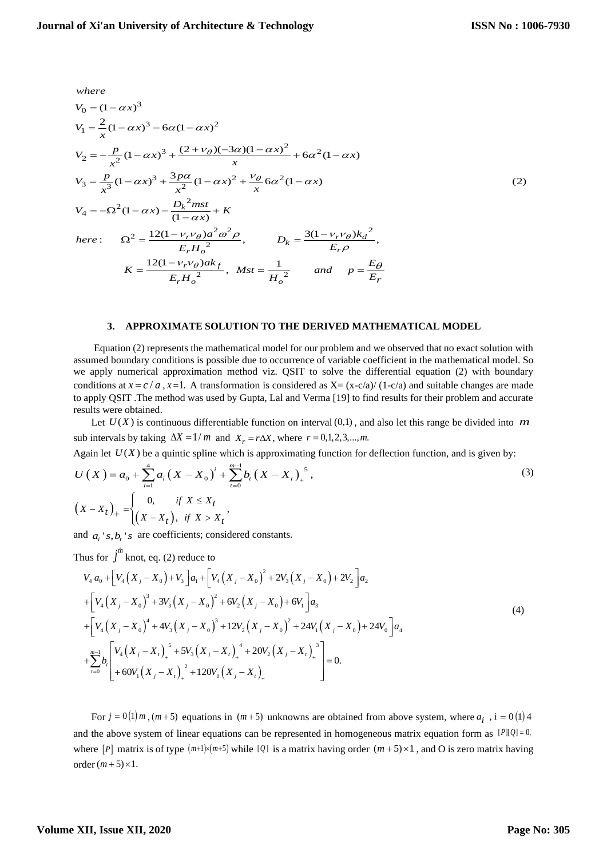$$
where
$$

where  
\n
$$
V_0 = (1 - \alpha x)^3
$$
\n
$$
V_1 = \frac{2}{x}(1 - \alpha x)^3 - 6\alpha(1 - \alpha x)^2
$$
\n
$$
V_2 = -\frac{p}{x^2}(1 - \alpha x)^3 + \frac{(2 + v_\theta)(-3\alpha)(1 - \alpha x)^2}{x} + 6\alpha^2(1 - \alpha x)
$$
\n
$$
V_3 = \frac{p}{x^3}(1 - \alpha x)^3 + \frac{3p\alpha}{x^2}(1 - \alpha x)^2 + \frac{v_\theta}{x}6\alpha^2(1 - \alpha x)
$$
\n
$$
V_4 = -\Omega^2(1 - \alpha x) - \frac{D_k^2 m st}{(1 - \alpha x)} + K
$$
\nhere: 
$$
\Omega^2 = \frac{12(1 - v_r v_\theta)\alpha^2 \omega^2 \rho}{E_r H_o^2}, \qquad D_k = \frac{3(1 - v_r v_\theta)k_d^2}{E_r \rho},
$$
\n
$$
K = \frac{12(1 - v_r v_\theta)\alpha k_f}{E_r H_o^2}, \qquad Mst = \frac{1}{H_o^2} \qquad and \qquad p = \frac{E_\theta}{E_r}
$$

## **3. APPROXIMATE SOLUTION TO THE DERIVED MATHEMATICAL MODEL**

 Equation (2) represents the mathematical model for our problem and we observed that no exact solution with assumed boundary conditions is possible due to occurrence of variable coefficient in the mathematical model. So we apply numerical approximation method viz. QSIT to solve the differential equation (2) with boundary conditions at  $x = c/a$ ,  $x = 1$ . A transformation is considered as  $X = (x - c/a)/(1 - c/a)$  and suitable changes are made to apply QSIT .The method was used by Gupta, Lal and Verma [19] to find results for their problem and accurate results were obtained.

Let  $U(X)$  is continuous differentiable function on interval  $(0,1)$ , and also let this range be divided into m sub intervals by taking  $\Delta X = 1/m$  and  $X_r = r\Delta X$ , where  $r = 0, 1, 2, 3, \dots, m$ .

sub intervals by taking 
$$
\Delta X = 1/m
$$
 and  $X_r = r\Delta X$ , where  $r = 0,1,2,3,...,m$ .  
\nAgain let  $U(X)$  be a quintic spline which is approximating function for deflection function, and is given by:  
\n
$$
U(X) = a_0 + \sum_{i=1}^{4} a_i (X - X_0)^i + \sum_{t=0}^{m-1} b_t (X - X_t)_+^s,
$$
\n(3)  
\n
$$
(X - X_t)_+ = \begin{cases} 0, & \text{if } X \le X_t \\ (X - X_t), & \text{if } X > X_t \end{cases},
$$

and  $a_i$ 's,  $b_i$ 's are coefficients; considered constants.

and 
$$
a_i
$$
's,  $b_i$ 's are coefficients; considered constants.  
\nThus for  $\int^{ih} \text{knot, eq. (2) reduce to}$   
\n
$$
V_4 a_0 + \Big[ V_4 (X_j - X_0) + V_3 \Big] a_1 + \Big[ V_4 (X_j - X_0)^2 + 2V_3 (X_j - X_0) + 2V_2 \Big] a_2
$$
\n
$$
+ \Big[ V_4 (X_j - X_0)^3 + 3V_3 (X_j - X_0)^2 + 6V_2 (X_j - X_0) + 6V_1 \Big] a_3
$$
\n
$$
+ \Big[ V_4 (X_j - X_0)^4 + 4V_3 (X_j - X_0)^3 + 12V_2 (X_j - X_0)^2 + 24V_1 (X_j - X_0) + 24V_0 \Big] a_4
$$
\n
$$
+ \sum_{i=0}^{m-1} b_i \Bigg[ V_4 (X_j - X_i)_+^3 + 5V_3 (X_j - X_i)_+^4 + 20V_2 (X_j - X_i)_+^3 \Bigg] = 0.
$$
\n(4)

For  $j = 0(1) m$ ,  $(m+5)$  equations in  $(m+5)$  unknowns are obtained from above system, where  $a_i$ ,  $i = 0(1)4$ and the above system of linear equations can be represented in homogeneous matrix equation form as  $[P](Q) = 0$ , where  $[P]$  matrix is of type  $(m+1)\times(m+5)$  while  $[Q]$  is a matrix having order  $(m+5)\times 1$ , and O is zero matrix having order  $(m+5) \times 1$ .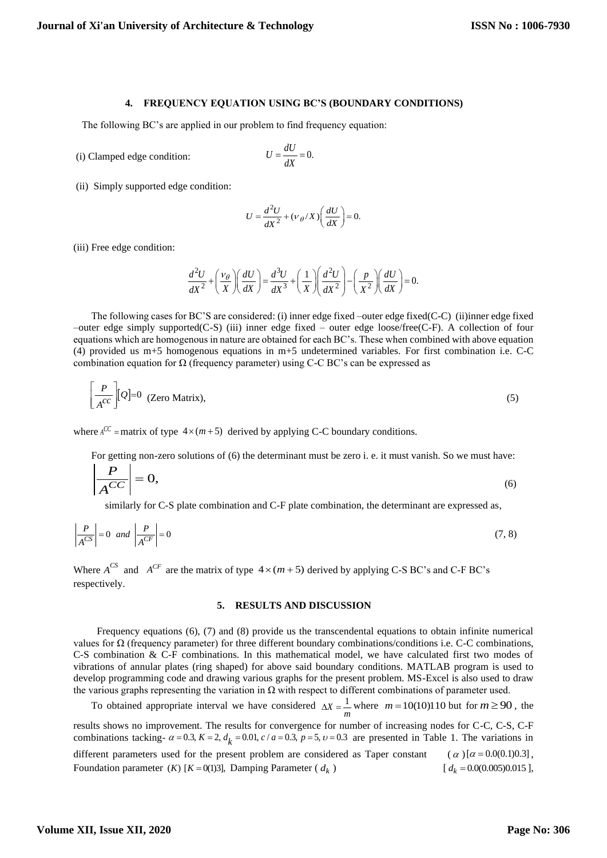## **4. FREQUENCY EQUATION USING BC'S (BOUNDARY CONDITIONS)**

The following BC's are applied in our problem to find frequency equation:

 $(i)$  Clamped edge condition:

$$
U = \frac{dU}{dX} = 0.
$$

(ii) Simply supported edge condition:

$$
U = \frac{d^2U}{dX^2} + (v \, \theta / X) \bigg(\frac{dU}{dX}\bigg) = 0.
$$

(iii) Free edge condition:

$$
\frac{d^2U}{dX^2} + \left(\frac{v_\theta}{X}\right)\left(\frac{dU}{dX}\right) = \frac{d^3U}{dX^3} + \left(\frac{1}{X}\right)\left(\frac{d^2U}{dX^2}\right) - \left(\frac{p}{X^2}\right)\left(\frac{dU}{dX}\right) = 0.
$$

 The following cases for BC'S are considered: (i) inner edge fixed –outer edge fixed(C-C) (ii)inner edge fixed –outer edge simply supported(C-S) (iii) inner edge fixed – outer edge loose/free(C-F). A collection of four equations which are homogenous in nature are obtained for each BC's. These when combined with above equation (4) provided us m+5 homogenous equations in m+5 undetermined variables. For first combination i.e. C-C combination equation for  $\Omega$  (frequency parameter) using C-C BC's can be expressed as

$$
\left[\frac{P}{A^{CC}}\right][Q]=0 \quad \text{(Zero Matrix)},\tag{5}
$$

where  $A^{CC}$  = matrix of type  $4 \times (m+5)$  derived by applying C-C boundary conditions.

For getting non-zero solutions of (6) the determinant must be zero i. e. it must vanish. So we must have:

$$
\left|\frac{P}{A^{CC}}\right| = 0,\tag{6}
$$

similarly for C-S plate combination and C-F plate combination, the determinant are expressed as,

$$
\left| \frac{P}{A^{CS}} \right| = 0 \quad \text{and} \quad \left| \frac{P}{A^{CF}} \right| = 0 \tag{7.8}
$$

Where  $A^{CS}$  and  $A^{CF}$  are the matrix of type  $4 \times (m+5)$  derived by applying C-S BC's and C-F BC's respectively.

### **5. RESULTS AND DISCUSSION**

 Frequency equations (6), (7) and (8) provide us the transcendental equations to obtain infinite numerical values for Ω (frequency parameter) for three different boundary combinations/conditions i.e. C-C combinations, C-S combination & C-F combinations. In this mathematical model, we have calculated first two modes of vibrations of annular plates (ring shaped) for above said boundary conditions. MATLAB program is used to develop programming code and drawing various graphs for the present problem. MS-Excel is also used to draw the various graphs representing the variation in  $\Omega$  with respect to different combinations of parameter used.

To obtained appropriate interval we have considered  $\Delta X = \frac{1}{m}$  where  $m = 10(10)110$  but for  $m \ge 90$ , the results shows no improvement. The results for convergence for number of increasing nodes for C-C, C-S, C-F combinations tacking-  $\alpha$  = 0.3,  $K$  = 2,  $d_k$  = 0.01,  $c/a$  = 0.3,  $p$  = 5,  $v$  = 0.3 are presented in Table 1. T results shows no improvement. The results for convergence for number of increasing nodes for C-C, C-S, C-F combinations tacking-  $\alpha$  = 0.3,  $K$  = 2,  $d_k$  = 0.01,  $c/a$  = 0.3,  $p$  = 5,  $v$  = 0.3 are presented in Table 1. T different parameters used for the present problem are considered as Taper constant  $\alpha$ ) [ $\alpha$  = 0.0(0.1)0.3],

Foundation parameter  $(K)$   $[K = 0(1)3]$ , Damping Parameter ( $d_k$ ) and  $\begin{bmatrix} 1 & 1 \\ 1 & 1 \end{bmatrix}$  $d_k = 0.0(0.005)0.015$ ],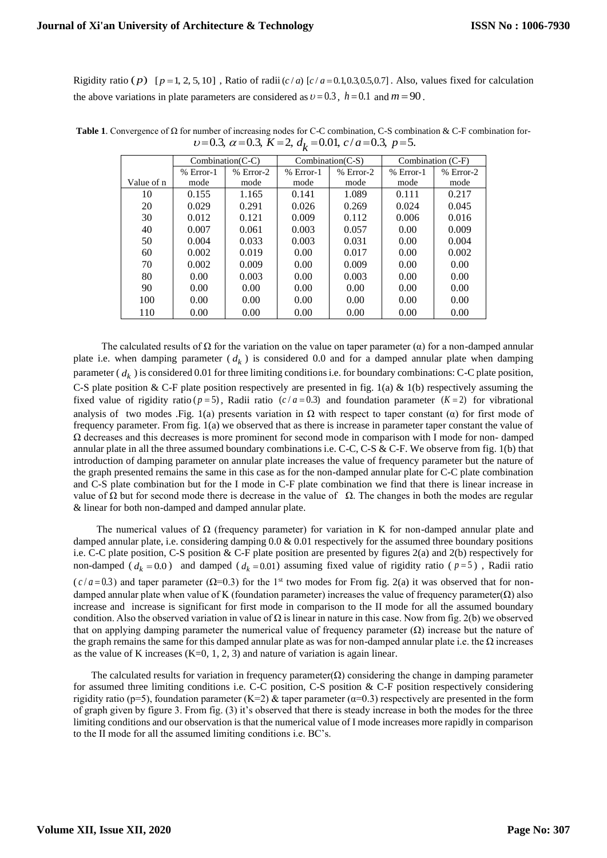Rigidity ratio (p)  $[p=1, 2, 5, 10]$ , Ratio of radii  $(c/a)$   $[c/a = 0.1, 0.3, 0.5, 0.7]$ . Also, values fixed for calculation the above variations in plate parameters are considered as  $v = 0.3$ ,  $h = 0.1$  and  $m = 90$ .

|            | $Combination(C-C)$ |             | $Combination(C-S)$ |             | Combination (C-F) |             |
|------------|--------------------|-------------|--------------------|-------------|-------------------|-------------|
|            | $% Error-1$        | $% Error-2$ | $% Error-1$        | $% Error-2$ | $% Error-1$       | $%$ Error-2 |
| Value of n | mode               | mode        | mode               | mode        | mode              | mode        |
| 10         | 0.155              | 1.165       | 0.141              | 1.089       | 0.111             | 0.217       |
| 20         | 0.029              | 0.291       | 0.026              | 0.269       | 0.024             | 0.045       |
| 30         | 0.012              | 0.121       | 0.009              | 0.112       | 0.006             | 0.016       |
| 40         | 0.007              | 0.061       | 0.003              | 0.057       | 0.00              | 0.009       |
| 50         | 0.004              | 0.033       | 0.003              | 0.031       | 0.00              | 0.004       |
| 60         | 0.002              | 0.019       | 0.00               | 0.017       | 0.00              | 0.002       |
| 70         | 0.002              | 0.009       | 0.00               | 0.009       | 0.00              | 0.00        |
| 80         | 0.00               | 0.003       | 0.00               | 0.003       | 0.00              | 0.00        |
| 90         | 0.00               | 0.00        | 0.00               | 0.00        | 0.00              | 0.00        |
| 100        | 0.00               | 0.00        | 0.00               | 0.00        | 0.00              | 0.00        |
| 110        | 0.00               | 0.00        | 0.00               | 0.00        | 0.00              | 0.00        |

**Table 1**. Convergence of Ω for number of increasing nodes for C-C combination, C-S combination & C-F combination fornumber of increasing nodes for C-C combination, C-S combination<br>  $\nu$ =0.3,  $\alpha$  =0.3,  $K$  =2,  $d_k$  =0.01,  $c/a$  =0.3,  $p$  =5.

The calculated results of  $\Omega$  for the variation on the value on taper parameter ( $\alpha$ ) for a non-damped annular plate i.e. when damping parameter ( *dk* ) is considered 0.0 and for a damped annular plate when damping parameter ( $d_k$ ) is considered 0.01 for three limiting conditions i.e. for boundary combinations: C-C plate position, C-S plate position & C-F plate position respectively are presented in fig.  $1(a) \& 1(b)$  respectively assuming the fixed value of rigidity ratio ( $p = 5$ ), Radii ratio ( $c/a = 0.3$ ) and foundation parameter ( $K = 2$ ) for vibrational analysis of two modes .Fig. 1(a) presents variation in  $\Omega$  with respect to taper constant ( $\alpha$ ) for first mode of frequency parameter. From fig. 1(a) we observed that as there is increase in parameter taper constant the value of Ω decreases and this decreases is more prominent for second mode in comparison with I mode for non- damped annular plate in all the three assumed boundary combinations i.e. C-C, C-S & C-F. We observe from fig. 1(b) that introduction of damping parameter on annular plate increases the value of frequency parameter but the nature of the graph presented remains the same in this case as for the non-damped annular plate for C-C plate combination and C-S plate combination but for the I mode in C-F plate combination we find that there is linear increase in value of  $\Omega$  but for second mode there is decrease in the value of  $\Omega$ . The changes in both the modes are regular & linear for both non-damped and damped annular plate.

The numerical values of  $\Omega$  (frequency parameter) for variation in K for non-damped annular plate and damped annular plate, i.e. considering damping 0.0 & 0.01 respectively for the assumed three boundary positions i.e. C-C plate position, C-S position & C-F plate position are presented by figures 2(a) and 2(b) respectively for non-damped ( $d_k = 0.0$ ) and damped ( $d_k = 0.01$ ) assuming fixed value of rigidity ratio ( $p = 5$ ), Radii ratio  $(c/a = 0.3)$  and taper parameter ( $\Omega = 0.3$ ) for the 1<sup>st</sup> two modes for From fig. 2(a) it was observed that for nondamped annular plate when value of K (foundation parameter) increases the value of frequency parameter $(\Omega)$  also increase and increase is significant for first mode in comparison to the II mode for all the assumed boundary condition. Also the observed variation in value of  $\Omega$  is linear in nature in this case. Now from fig. 2(b) we observed that on applying damping parameter the numerical value of frequency parameter  $(\Omega)$  increase but the nature of the graph remains the same for this damped annular plate as was for non-damped annular plate i.e. the  $\Omega$  increases as the value of K increases  $(K=0, 1, 2, 3)$  and nature of variation is again linear.

The calculated results for variation in frequency parameter $(\Omega)$  considering the change in damping parameter for assumed three limiting conditions i.e. C-C position, C-S position & C-F position respectively considering rigidity ratio (p=5), foundation parameter (K=2) & taper parameter ( $\alpha$ =0.3) respectively are presented in the form of graph given by figure 3. From fig. (3) it's observed that there is steady increase in both the modes for the three limiting conditions and our observation is that the numerical value of I mode increases more rapidly in comparison to the II mode for all the assumed limiting conditions i.e. BC's.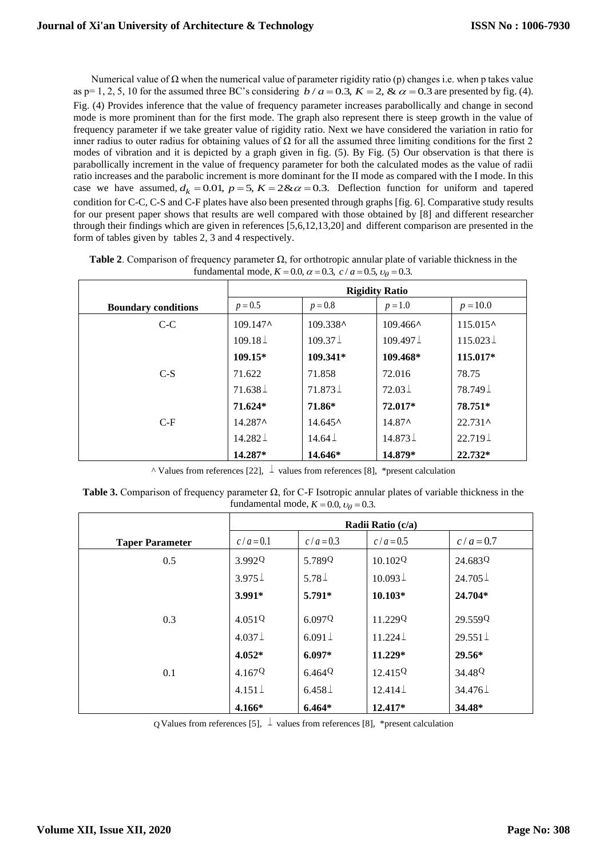Numerical value of  $Ω$  when the numerical value of parameter rigidity ratio (p) changes i.e. when p takes value reflected the problem of the numerical value of parameter rigidity ratio (p) changes i.e. when p takes value as  $p=1, 2, 5, 10$  for the assumed three BC's considering  $b/a = 0.3$ ,  $K = 2$ ,  $\& \alpha = 0.3$  are presented by fig. ( Fig. (4) Provides inference that the value of frequency parameter increases parabollically and change in second mode is more prominent than for the first mode. The graph also represent there is steep growth in the value of frequency parameter if we take greater value of rigidity ratio. Next we have considered the variation in ratio for inner radius to outer radius for obtaining values of  $\Omega$  for all the assumed three limiting conditions for the first 2 modes of vibration and it is depicted by a graph given in fig. (5). By Fig. (5) Our observation is that there is parabollically increment in the value of frequency parameter for both the calculated modes as the value of radii ratio increases and the parabolic increment is more dominant for the II mode as compared with the I mode. In this ratio increases and the parabolic increment is more dominant for the II mode as compared with the I mode. In this<br>case we have assumed,  $d_k = 0.01$ ,  $p = 5$ ,  $K = 2 < \alpha = 0.3$ . Deflection function for uniform and tapered condition for C-C, C-S and C-F plates have also been presented through graphs [fig. 6]. Comparative study results for our present paper shows that results are well compared with those obtained by [8] and different researcher through their findings which are given in references [5,6,12,13,20] and different comparison are presented in the form of tables given by tables 2, 3 and 4 respectively.

|                            | <b>Rigidity Ratio</b> |                              |                               |                   |  |
|----------------------------|-----------------------|------------------------------|-------------------------------|-------------------|--|
| <b>Boundary conditions</b> | $p = 0.5$             | $p = 0.8$                    | $p = 1.0$                     | $p = 10.0$        |  |
| $C-C$                      | $109.147^{\circ}$     | 109.338^                     | $109.466^{\textstyle \wedge}$ | $115.015^{\circ}$ |  |
|                            | $109.18\,\pm$         | $109.37\,\pm\,$              | $109.497\,\pm\,$              | $115.023 \perp$   |  |
|                            | $109.15*$             | 109.341*                     | 109.468*                      | 115.017*          |  |
| $C-S$                      | 71.622                | 71.858                       | 72.016                        | 78.75             |  |
|                            | $71.638\,\pm$         | $71.873\,\pm$                | $72.03\pm$                    | 78.749⊥           |  |
|                            | $71.624*$             | 71.86*                       | 72.017*                       | 78.751*           |  |
| $C-F$                      | $14.287^{\circ}$      | $14.645^{\textstyle \wedge}$ | $14.87^{\circ}$               | $22.731^{\circ}$  |  |
|                            | $14.282\pm$           | $14.64\,\pm$                 | $14.873 \pm$                  | $22.719\,\pm$     |  |
|                            | 14.287*               | 14.646*                      | 14.879*                       | $22.732*$         |  |

**Table 2.** Comparison of frequency parameter  $\Omega$ , for orthotropic annular plate of variable thickness in the fundamental mode,  $K = 0.0$ ,  $\alpha = 0.3$ ,  $c/a = 0.5$ ,  $v_\theta = 0.3$ .

^ Values from references [22], ⊥ values from references [8], \*present calculation

**Table 3.** Comparison of frequency parameter Ω, for C-F Isotropic annular plates of variable thickness in the fundamental mode,  $K = 0.0$ ,  $v_\theta = 0.3$ .

|                        | Radii Ratio (c/a)  |              |                     |                        |  |
|------------------------|--------------------|--------------|---------------------|------------------------|--|
| <b>Taper Parameter</b> | $c/a = 0.1$        | $c/a = 0.3$  | $c/a = 0.5$         | $c/a = 0.7$            |  |
| 0.5                    | 3.992Q             | 5.789Q       | 10.102Q             | 24.683Q                |  |
|                        | $3.975\perp$       | $5.78\perp$  | $10.093\,\pm$       | $24.705\pm$            |  |
|                        | $3.991*$           | $5.791*$     | $10.103*$           | $24.704*$              |  |
| 0.3                    | 4.051Q             | 6.097Q       | 11.229 <sup>Q</sup> | 29.559Q                |  |
|                        | $4.037\pm$         | $6.091\pm$   | $11.224 \perp$      | $29.551 \perp$         |  |
|                        | $4.052*$           | $6.097*$     | $11.229*$           | $29.56*$               |  |
| 0.1                    | 4.167 <sup>Q</sup> | 6.464Q       | 12.415Q             | 34.48 <sup>Q</sup>     |  |
|                        | $4.151 \perp$      | $6.458\,\pm$ | $12.414\pm$         | $34.476\,\mathrm{\AA}$ |  |
|                        | 4.166*             | $6.464*$     | 12.417*             | 34.48*                 |  |

Q Values from references [5],  $\perp$  values from references [8], \*present calculation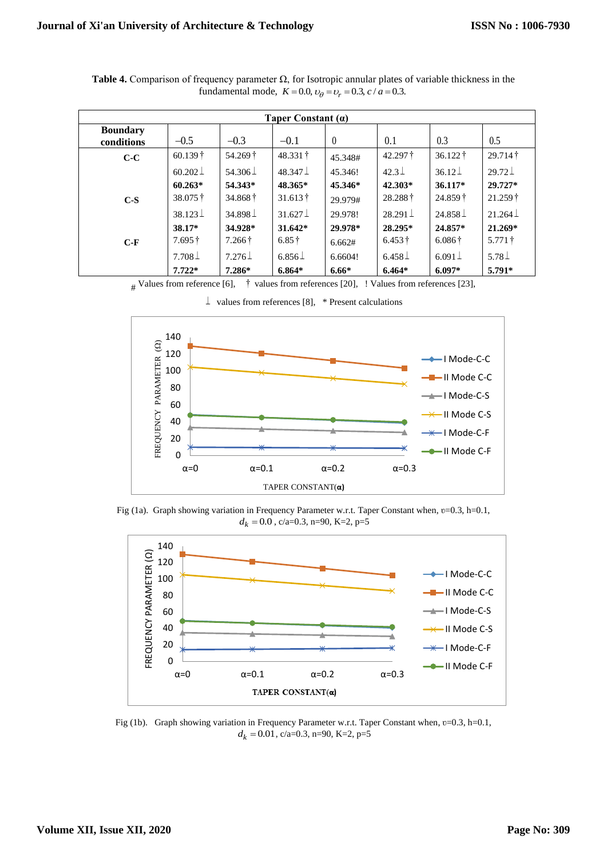| Taper Constant $(a)$          |                             |                 |                 |          |                           |                     |                 |
|-------------------------------|-----------------------------|-----------------|-----------------|----------|---------------------------|---------------------|-----------------|
| <b>Boundary</b><br>conditions | $-0.5$                      | $-0.3$          | $-0.1$          | $\theta$ | 0.1                       | 0.3                 | 0.5             |
| $C-C$                         | $60.139\dagger$             | 54.269 †        | 48.331          | 45.348#  | $42.297 \text{ }^{\circ}$ | $36.122 \, \dagger$ | $29.714\dagger$ |
|                               | $60.202\pm$                 | 54.306 $\perp$  | $48.347\pm$     | 45.346!  | $42.3\,\pm$               | $36.12\pm$          | $29.72\perp$    |
|                               | $60.263*$                   | 54.343*         | 48.365*         | 45.346*  | 42.303*                   | $36.117*$           | 29.727*         |
| $C-S$                         | $38.075 \text{ }^{\dagger}$ | $34.868\dagger$ | $31.613\dagger$ | 29.979#  | 28.288                    | $24.859\dagger$     | $21.259\dagger$ |
|                               | $38.123 \pm$                | 34.898 $\perp$  | $31.627\pm$     | 29.978!  | $28.291 \perp$            | $24.858 \perp$      | $21.264\,\pm$   |
|                               | 38.17*                      | 34.928*         | $31.642*$       | 29.978*  | 28.295*                   | 24.857*             | $21.269*$       |
| $C-F$                         | $7.695\dagger$              | $7.266\dagger$  | $6.85\dagger$   | 6.662#   | $6.453\dagger$            | $6.086\dagger$      | $5.771\dagger$  |
|                               | $7.708\pm$                  | $7.276\,\pm$    | $6.856\pm$      | 6.6604!  | $6.458\pm$                | $6.091 \pm$         | 5.78 $\perp$    |
|                               | $7.722*$                    | $7.286*$        | $6.864*$        | $6.66*$  | $6.464*$                  | $6.097*$            | $5.791*$        |

**Table 4.** Comparison of frequency parameter Ω, for Isotropic annular plates of variable thickness in the fundamental mode,  $K = 0.0$ ,  $v_{\theta} = v_r = 0.3$ ,  $c/a = 0.3$ .

# Values from reference [6], † values from references [20], ! Values from references [23],



 $\perp$  values from references [8], \* Present calculations

Fig (1a). Graph showing variation in Frequency Parameter w.r.t. Taper Constant when, v=0.3, h=0.1,  $d_k = 0.0$ , c/a=0.3, n=90, K=2, p=5



Fig (1b). Graph showing variation in Frequency Parameter w.r.t. Taper Constant when, v=0.3, h=0.1,  $d_k = 0.01$ , c/a=0.3, n=90, K=2, p=5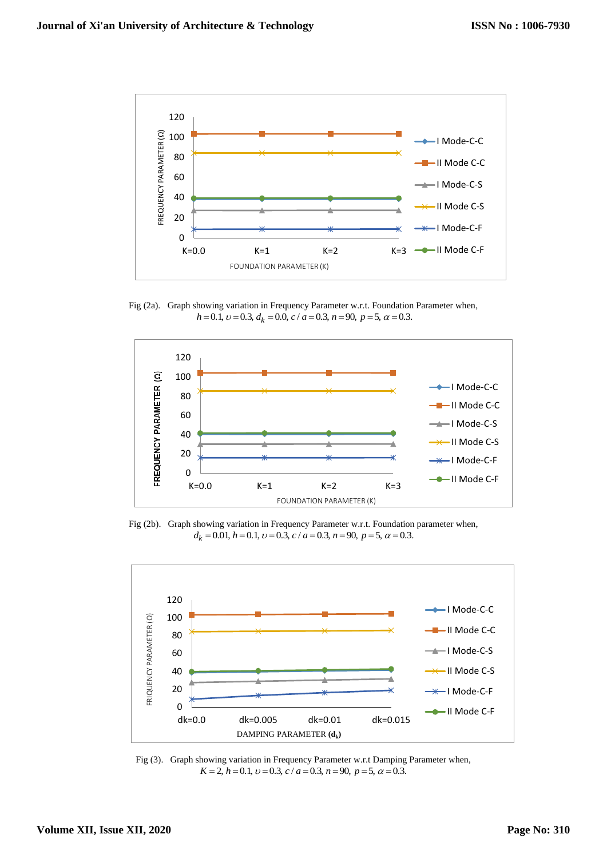

Fig (2a). Graph showing variation in Frequency Parameter w.r.t. Foundation Parameter when,<br> $h = 0.1$ ,  $v = 0.3$ ,  $d_k = 0.0$ ,  $c/a = 0.3$ ,  $n = 90$ ,  $p = 5$ ,  $\alpha = 0.3$ .



Fig (2b). Graph showing variation in Frequency Parameter w.r.t. Foundation parameter when,  $d_k = 0.01$ ,  $h = 0.1$ ,  $v = 0.3$ ,  $c / a = 0.3$ ,  $n = 90$ ,  $p = 5$ ,  $\alpha = 0.3$ .



Fig (3). Graph showing variation in Frequency Parameter w.r.t Damping Parameter when,<br> $K = 2$ ,  $h = 0.1$ ,  $v = 0.3$ ,  $c/a = 0.3$ ,  $n = 90$ ,  $p = 5$ ,  $\alpha = 0.3$ .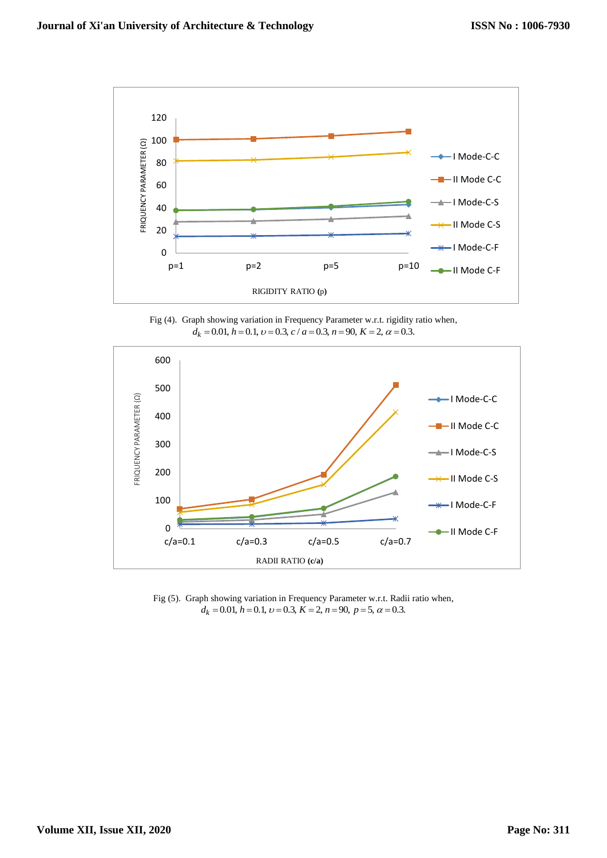

Fig (4). Graph showing variation in Frequency Parameter w.r.t. rigidity ratio when,<br>  $d_k = 0.01$ ,  $h = 0.1$ ,  $v = 0.3$ ,  $c/a = 0.3$ ,  $n = 90$ ,  $K = 2$ ,  $\alpha = 0.3$ .



Fig (5). Graph showing variation in Frequency Parameter w.r.t. Radii ratio when,<br>  $d_k = 0.01, h = 0.1, v = 0.3, K = 2, n = 90, p = 5, \alpha = 0.3.$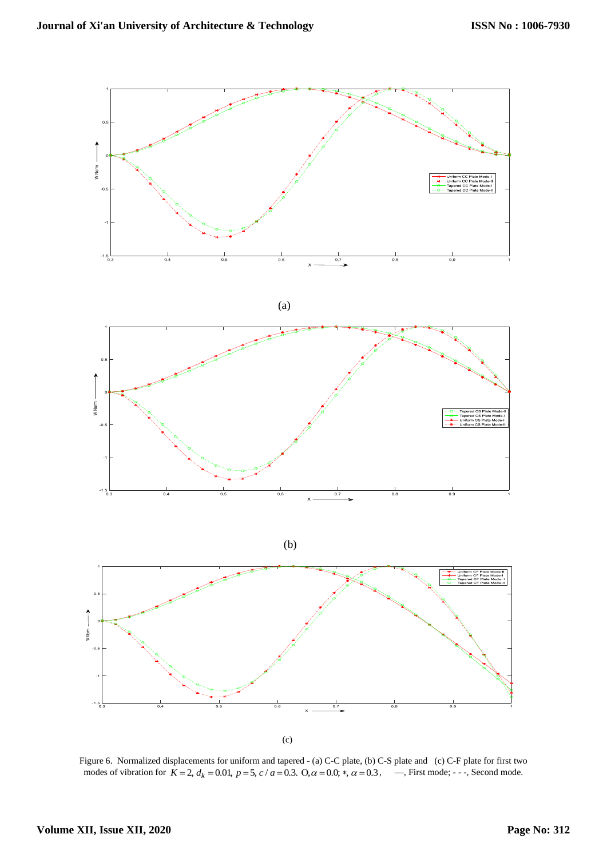

Figure 6. Normalized displacements for uniform and tapered - (a) C-C plate, (b) C-S plate and (c) C-F plate for first two Figure 6. Normalized displacements for uniform and tapered - (a) C-C plate, (b) C-S plate and (c) C-F plate for first two modes of vibration for  $K = 2$ ,  $d_k = 0.01$ ,  $p = 5$ ,  $c/a = 0.3$ . O,  $\alpha = 0.0$ ;  $\ast$ ,  $\alpha = 0.3$ ,  $\cdots$ ,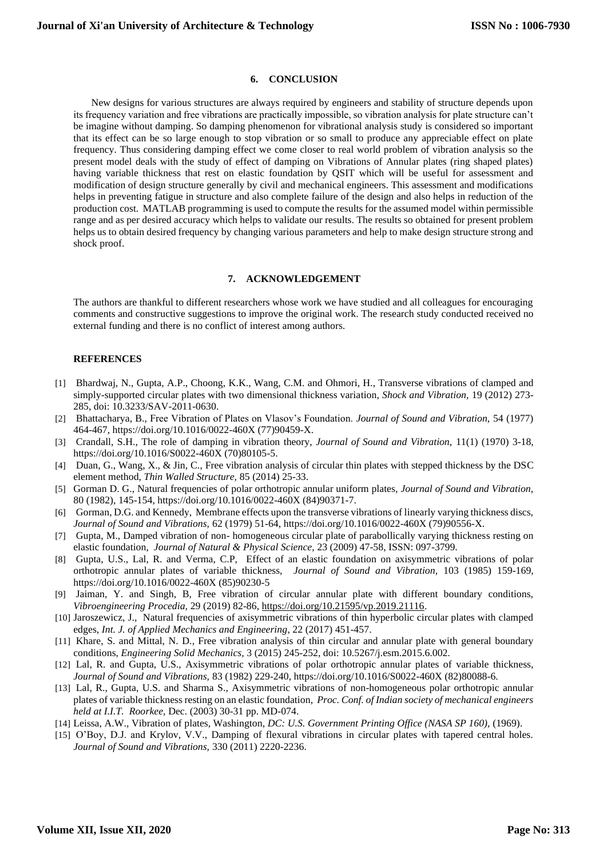### **6. CONCLUSION**

 New designs for various structures are always required by engineers and stability of structure depends upon its frequency variation and free vibrations are practically impossible, so vibration analysis for plate structure can't be imagine without damping. So damping phenomenon for vibrational analysis study is considered so important that its effect can be so large enough to stop vibration or so small to produce any appreciable effect on plate frequency. Thus considering damping effect we come closer to real world problem of vibration analysis so the present model deals with the study of effect of damping on Vibrations of Annular plates (ring shaped plates) having variable thickness that rest on elastic foundation by QSIT which will be useful for assessment and modification of design structure generally by civil and mechanical engineers. This assessment and modifications helps in preventing fatigue in structure and also complete failure of the design and also helps in reduction of the production cost. MATLAB programming is used to compute the results for the assumed model within permissible range and as per desired accuracy which helps to validate our results. The results so obtained for present problem helps us to obtain desired frequency by changing various parameters and help to make design structure strong and shock proof.

# **7. ACKNOWLEDGEMENT**

The authors are thankful to different researchers whose work we have studied and all colleagues for encouraging comments and constructive suggestions to improve the original work. The research study conducted received no external funding and there is no conflict of interest among authors.

#### **REFERENCES**

- [1] Bhardwaj, N., Gupta, A.P., Choong, K.K., Wang, C.M. and Ohmori, H., Transverse vibrations of clamped and simply-supported circular plates with two dimensional thickness variation, *Shock and Vibration,* 19 (2012) 273- 285, doi: 10.3233/SAV-2011-0630.
- [2] Bhattacharya, B., Free Vibration of Plates on Vlasov's Foundation. *Journal of Sound and Vibration,* 54 (1977) 464-467, https://doi.org/10.1016/0022-460X (77)90459-X.
- [3] Crandall, S.H., The role of damping in vibration theory, *Journal of Sound and Vibration,* 11(1) (1970) 3-18, https://doi.org/10.1016/S0022-460X (70)80105-5.
- [4] Duan, G., Wang, X., & Jin, C., Free vibration analysis of circular thin plates with stepped thickness by the DSC element method, *Thin Walled Structure,* 85 (2014) 25-33.
- [5] Gorman D. G., Natural frequencies of polar orthotropic annular uniform plates, *Journal of Sound and Vibration,* 80 (1982), 145-154, https://doi.org/10.1016/0022-460X (84)90371-7.
- [6] Gorman, D.G. and Kennedy, Membrane effects upon the transverse vibrations of linearly varying thickness discs, *Journal of Sound and Vibrations,* 62 (1979) 51-64, https://doi.org/10.1016/0022-460X (79)90556-X.
- [7] Gupta, M., Damped vibration of non- homogeneous circular plate of parabollically varying thickness resting on elastic foundation, *Journal of Natural & Physical Science,* 23 (2009) 47-58, ISSN: 097-3799.
- [8] Gupta, U.S., Lal, R. and Verma, C.P, Effect of an elastic foundation on axisymmetric vibrations of polar orthotropic annular plates of variable thickness, *Journal of Sound and Vibration,* 103 (1985) 159-169, https://doi.org/10.1016/0022-460X (85)90230-5
- [9] Jaiman, Y. and Singh, B, Free vibration of circular annular plate with different boundary conditions, *Vibroengineering Procedia,* 29 (2019) 82-86, [https://doi.org/10.21595/vp.2019.21116.](https://doi.org/10.21595/vp.2019.21116)
- [10] Jaroszewicz, J., Natural frequencies of axisymmetric vibrations of thin hyperbolic circular plates with clamped edges, *Int. J. of Applied Mechanics and Engineering*, 22 (2017) 451-457.
- [11] Khare, S. and Mittal, N. D., Free vibration analysis of thin circular and annular plate with general boundary conditions, *Engineering Solid Mechanics,* 3 (2015) 245-252, doi: 10.5267/j.esm.2015.6.002.
- [12] Lal, R. and Gupta, U.S., Axisymmetric vibrations of polar orthotropic annular plates of variable thickness, *Journal of Sound and Vibrations,* 83 (1982) 229-240, https://doi.org/10.1016/S0022-460X (82)80088-6.
- [13] Lal, R., Gupta, U.S. and Sharma S., Axisymmetric vibrations of non-homogeneous polar orthotropic annular plates of variable thickness resting on an elastic foundation, *Proc. Conf. of Indian society of mechanical engineers held at I.I.T. Roorkee,* Dec. (2003) 30-31 pp. MD-074.
- [14] Leissa, A.W., Vibration of plates, Washington, *DC: U.S. Government Printing Office (NASA SP 160),* (1969).
- [15] O'Boy, D.J. and Krylov, V.V., Damping of flexural vibrations in circular plates with tapered central holes. *Journal of Sound and Vibrations,* 330 (2011) 2220-2236.